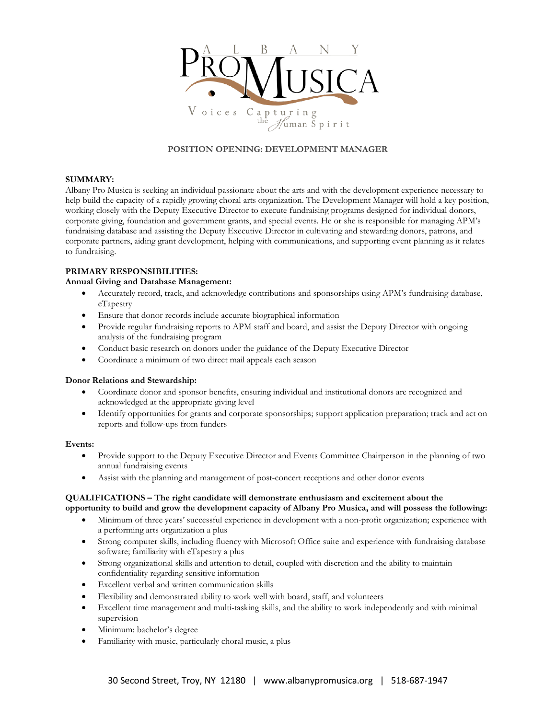

## **POSITION OPENING: DEVELOPMENT MANAGER**

## **SUMMARY:**

Albany Pro Musica is seeking an individual passionate about the arts and with the development experience necessary to help build the capacity of a rapidly growing choral arts organization. The Development Manager will hold a key position, working closely with the Deputy Executive Director to execute fundraising programs designed for individual donors, corporate giving, foundation and government grants, and special events. He or she is responsible for managing APM's fundraising database and assisting the Deputy Executive Director in cultivating and stewarding donors, patrons, and corporate partners, aiding grant development, helping with communications, and supporting event planning as it relates to fundraising.

# **PRIMARY RESPONSIBILITIES:**

## **Annual Giving and Database Management:**

- Accurately record, track, and acknowledge contributions and sponsorships using APM's fundraising database, eTapestry
- Ensure that donor records include accurate biographical information
- Provide regular fundraising reports to APM staff and board, and assist the Deputy Director with ongoing analysis of the fundraising program
- Conduct basic research on donors under the guidance of the Deputy Executive Director
- Coordinate a minimum of two direct mail appeals each season

## **Donor Relations and Stewardship:**

- Coordinate donor and sponsor benefits, ensuring individual and institutional donors are recognized and acknowledged at the appropriate giving level
- Identify opportunities for grants and corporate sponsorships; support application preparation; track and act on reports and follow-ups from funders

#### **Events:**

- Provide support to the Deputy Executive Director and Events Committee Chairperson in the planning of two annual fundraising events
- Assist with the planning and management of post-concert receptions and other donor events

## **QUALIFICATIONS – The right candidate will demonstrate enthusiasm and excitement about the** opportunity to build and grow the development capacity of Albany Pro Musica, and will possess the following:

- Minimum of three years' successful experience in development with a non-profit organization; experience with a performing arts organization a plus
- Strong computer skills, including fluency with Microsoft Office suite and experience with fundraising database software; familiarity with eTapestry a plus
- Strong organizational skills and attention to detail, coupled with discretion and the ability to maintain confidentiality regarding sensitive information
- Excellent verbal and written communication skills
- Flexibility and demonstrated ability to work well with board, staff, and volunteers
- Excellent time management and multi-tasking skills, and the ability to work independently and with minimal supervision
- Minimum: bachelor's degree
- Familiarity with music, particularly choral music, a plus